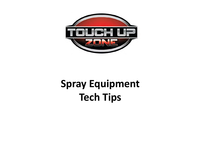

# **Spray Equipment Tech Tips**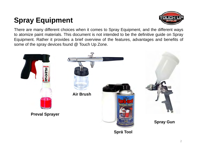# **Spray Equipment**



There are many different choices when it comes to Spray Equipment, and the different ways to atomize paint materials. This document is not intended to be the definitive guide on Spray Equipment. Rather it provides <sup>a</sup> brief overview of the features, advantages and benefits of some of the spray devices found @ Touch Up Zone.

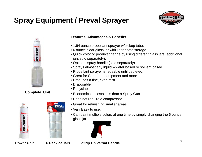# **Spray Equipment / Preval Sprayer**





#### **Complete Unit**





#### **Features, Advantages & Benefits**

- 1.94 ounce propellant sprayer w/pickup tube.
- 6 ounce clear glass jar with lid for safe storage.
- Quick color or product change by using different glass jars (additional jars sold separately).
- Optional spray handle (sold separately)
- Sprays almost any liquid water based or solvent based.
- Propellant sprayer is reusable until depleted.
- Great for Car, boat, equipment and more.
- Produces a fine, even mist.
- Disposable.
- Recyclable.
- Economical costs less than a Spray Gun.
- Does not require a compressor.
- Great for refinishing smaller areas.
- Very Easy to use.
- Can paint multiple colors at one time by simply changing the 6 ounce glass jar.



**Power Unit**

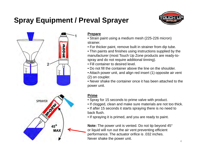### **Spray Equipment / Preval Sprayer**





#### **Prepare**

- Strain paint using a medium mesh (225-226 micron) strainer.
- For thicker paint, remove built in strainer from dip tube.
- Thin paints and finishes using instructions supplied by the manufacturer (most Touch Up Zone products are ready-tospray and do not require additional tinning).
- Fill container to desired level.
- Do not fill the container above the line on the shoulder.
- Attach power unit, and align red insert (1) opposite air vent (2) on coupler.
- Never shake the container once it has been attached to the power unit.

#### **Prime**

- Spray for 15 seconds to prime valve with product.
- If clogged, clean and make sure materials are not too thick.
- If after 15 seconds it starts spraying there is no need to back flush.
- If spraying it is primed, and you are ready to paint.

**Note:** The power unit is vented. Do not tip beyond 45° or liquid will run out the air vent preventing efficient performance. The actuator orifice is .032 inches. Never shake the power unit.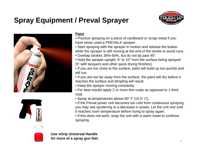# **Spray Equipment / Preval Sprayer**







#### **Paint**

- Practice spraying on a piece of cardboard or scrap metal if you have never used a PREVAL® sprayer.
- Start spraying with the sprayer in motion and release the button while the sprayer is still moving at the end of the stroke to avoid runs.
- Overlap strokes 35%-50%, but do not tip past 45°.
- Hold the sprayer upright, 6" to 10" from the surface being sprayed (5" with lacquers and other quick drying finishes).
- If you are too close to the surface, paint will build up too quickly and will run.
- If you are too far away from the surface, the paint will dry before it reaches the surface and dimpling will result.
- Keep the sprayer moving constantly.
- For best results apply 2 or more thin coats as opposed to 1 thick coat.
- Spray at temperatures above 60° F (15.5° C).
- If the Preval power unit becomes too cold from continuous spraying, you may see sputtering or a decrease in power. Let the unit rest until it reaches room temperature before trying to spray again.
- If this does not work, wrap the unit with a warm towel to continue spraying.

**Use vGrip Universal Handle for more of a spray gun feel.**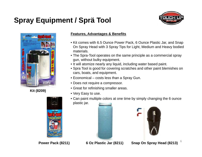### **Spray Equipment / Sprä Tool**





**Kit (8209)** 



#### **Features, Advantages & Benefits**

- Kit comes with 6.5 Ounce Power Pack, 6 Ounce Plastic Jar, and Snap On Spray Head with 3 Spray Tips for Light, Medium and Heavy bodied materials.
- The Spra-Tool operates on the same principle as a commercial spray gun, without bulky equipment.
- It will atomize nearly any liquid, including water based paint.
- Spra Tool is good for covering scratches and other paint blemishes on cars, boats, and equipment.
- Economical costs less than a Spray Gun.
- Does not require a compressor.
- Great for refinishing smaller areas.
- Very Easy to use.
- Can paint multiple colors at one time by simply changing the 6 ounce plastic jar.





6**Power Pack (8211) 6 Oz Plastic Jar (8211) Snap On Spray Head (8213)**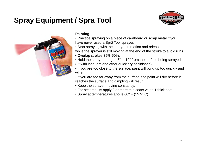### **Spray Equipment / Sprä Tool**





#### **Painting**

- Practice spraying on a piece of cardboard or scrap metal if you have never used a Sprä Tool sprayer.
- Start spraying with the sprayer in motion and release the button while the sprayer is still moving at the end of the stroke to avoid runs.
- Overlap strokes 35%-50%.
- Hold the sprayer upright, 6" to 10" from the surface being sprayed (5" with lacquers and other quick drying finishes).
- If you are too close to the surface, paint will build up too quickly and will run.
- If you are too far away from the surface, the paint will dry before it reaches the surface and dimpling will result.
- Keep the sprayer moving constantly.
- For best results apply 2 or more thin coats vs. to 1 thick coat.
- Spray at temperatures above 60° F (15.5° C).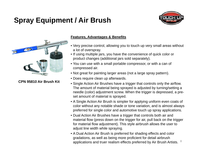# **Spray Equipment / Air Brush**





#### **CPN 95810 Air Brush Kit**

#### **Features, Advantages & Benefits**

- Very precise control, allowing you to touch up very small areas without a lot of overspray.
- If using multiple jars, you have the convenience of quick color or product changes (additional jars sold separately).
- You can use with a small portable compressor, or with a can of compressed air.
- Not great for painting larger areas (not a large spray pattern).
- Does require clean up afterwards.
- Single Action Air Brushes have a trigger that controls only the airflow. The amount of material being sprayed is adjusted by turning/setting a needle (color) adjustment screw. When the trigger is depressed, a preset amount of material is sprayed.
- A Single Action Air Brush is simpler for applying uniform even coats of color without any notable shade or tone variation, and is almost always preferred for single color and automotive touch up spray applications.
- Dual Action Air Brushes have a trigger that controls both air and material flow (press down on the trigger for air, pull back on the trigger for material flow adjustment). This style airbrush allows the user to adjust line width while spraying.
- applications and truer realism effects preferred by Air Brush Artists.  $~^8$ • A Dual Action Air Brush is preferred for shading effects and color gradations, as well as being more proficient for detail airbrush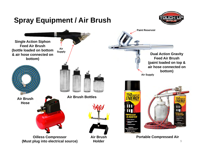

9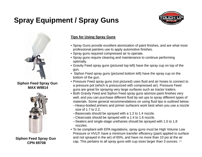### **Spray Equipment / Spray Guns**





**Siphon Feed Spray Gun MAX W9814**



#### **Tips for Using Spray Guns**

- Spray Guns provide excellent atomization of paint finishes, and are what most professional painters use to apply automotive finishes.
- Spray guns required compressed air to operate.
- Spray guns require cleaning and maintenance to continue performing optimally.
- Gravity Feed spray guns (pictured top left) have the spray cup on top of the gun.
- Siphon Feed spray guns (pictured bottom left) have the spray cup on the bottom of the gun.
- Pressure Feed spray guns (not pictured) uses fluid and air hoses to connect to a pressure pot (which is pressurized with compressed air). Pressure Feed guns are great for spraying very large surfaces such as tractor trailers.
- Both Gravity Feed and Siphon Feed spray guns atomize paint finishes very well, and you can purchase different fluid tip set ups to spray different types of materials. Some general recommendations on using fluid tips is outlined below:
	- –Heavy-bodied primers and primer surfacers work best when you use a nozzle size of 1.7 to 2.2.
	- –Basecoats should be sprayed with a 1.2 to 1.4 nozzle.
	- –Clearcoats should be sprayed with a 1.4 to 1.6 nozzle.
	- –Sealers and single-stage urethanes should be sprayed with 1.5 to 1.8 nozzles.
- Siphon Feed Spray Gun and not sprayed in the air) or 65%, and have no more than 10 psi at the all<br>CPN 69708 cap. This pertains to all spray guns with cup sizes larger than 3 ounces. 10 • To be compliant with EPA regulations, spray guns must be High Volume Low Pressure or HVLP, have a minimum transfer efficiency (paint applied to surface and not sprayed in the air) of 65%, and have no more than 10 psi at the air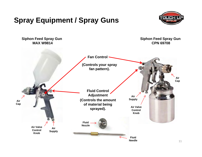### **Spray Equipment / Spray Guns**



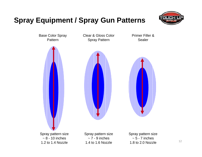### **Spray Equipment / Spray Gun Patterns**



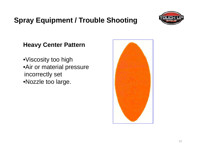### **Spray Equipment / Trouble Shooting**



#### **Heavy Center Pattern**

•Viscosity too high •Air or material pressure incorrectly set •Nozzle too large.

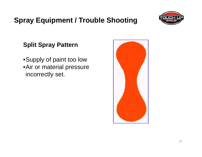### **Spray Equipment / Trouble Shooting**



#### **Split Spray Pattern**

•Supply of paint too low •Air or material pressure incorrectly set.

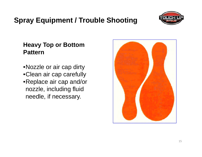### **Spray Equipment / Trouble Shooting**

#### **Heavy Top or Bottom Pattern**

•Nozzle or air cap dirty •Clean air cap carefully •Replace air cap and/or nozzle, including fluid needle, if necessary.



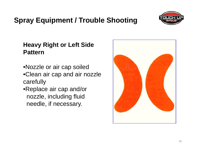#### 16

### **Spray Equipment / Trouble Shooting**

#### **Heavy Right or Left Side Pattern**

- •Nozzle or air cap soiled •Clean air cap and air nozzle carefully
- •Replace air cap and/or nozzle, including fluid needle, if necessary.



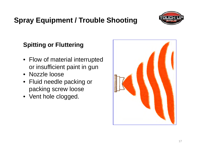#### 17

# **Spray Equipment / Trouble Shooting**

#### **Spitting or Fluttering**

- Flow of material interrupted or insufficient paint in gun
- Nozzle loose
- Fluid needle packing or packing screw loose
- Vent hole clogged.



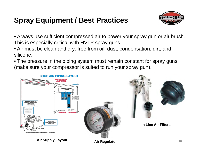### **Spray Equipment / Best Practices**



• Always use sufficient compressed air to power your spray gun or air brush. This is especially critical with HVLP spray guns.

- Air must be clean and dry: free from oil, dust, condensation, dirt, and silicone.
- The pressure in the piping system must remain constant for spray guns (make sure your compressor is suited to run your spray gun).





**In Line Air Filters**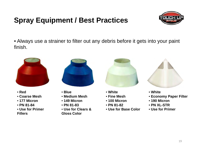# **Spray Equipment / Best Practices**



• Always use a strainer to filter out any debris before it gets into your paint finish.



- **Red**
- **Coarse Mesh**
- **177 Micron**
- **PN 81-84**
- **Use for Primer Fillers**



- **Blue**
- **Medium Mesh**
- **149 Micron**
- **PN 81-83**
- **Use for Clears & Gloss Color**



- **White**
- **Fine Mesh**
- **100 Micron**
- **PN 81-82**
- **Use for Base Color**



- **White**
- **Economy Paper Filter**
- **190 Micron**
- **PN XL-STR**
- **Use for Primer**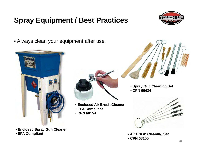# **Spray Equipment / Best Practices**



• Always clean your equipment after use.



• **Enclosed Spray Gun Cleaner** • **EPA Compliant**



- **Enclosed Air Brush Cleaner**
- **EPA Compliant**
- **CPN 68154**
- **Spray Gun Cleaning Set**
	- **CPN 99634**



- **Air Brush Cleaning Set**
- **CPN 68155**